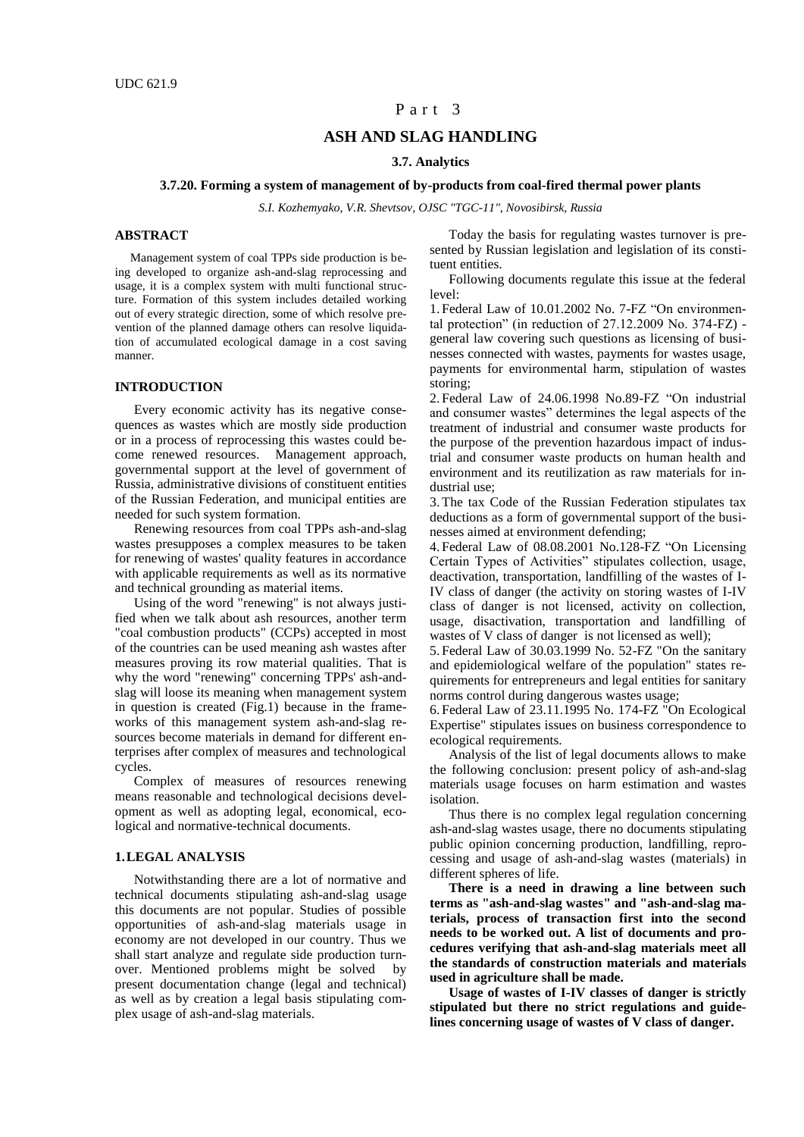# Part<sub>3</sub>

## **ASH AND SLAG HANDLING**

#### **3.7. Analytics**

#### **3.7.20. Forming a system of management of by-products from coal-fired thermal power plants**

*S.I. Kozhemyako, V.R. Shevtsov, OJSC "TGC-11", Novosibirsk, Russia*

## **ABSTRACT**

Management system of coal TPPs side production is being developed to organize ash-and-slag reprocessing and usage, it is a complex system with multi functional structure. Formation of this system includes detailed working out of every strategic direction, some of which resolve prevention of the planned damage others can resolve liquidation of accumulated ecological damage in a cost saving manner.

## **INTRODUCTION**

Every economic activity has its negative consequences as wastes which are mostly side production or in a process of reprocessing this wastes could become renewed resources. Management approach, governmental support at the level of government of Russia, administrative divisions of constituent entities of the Russian Federation, and municipal entities are needed for such system formation.

Renewing resources from coal TPPs ash-and-slag wastes presupposes a complex measures to be taken for renewing of wastes' quality features in accordance with applicable requirements as well as its normative and technical grounding as material items.

Using of the word "renewing" is not always justified when we talk about ash resources, another term "coal combustion products" (CCPs) accepted in most of the countries can be used meaning ash wastes after measures proving its row material qualities. That is why the word "renewing" concerning TPPs' ash-andslag will loose its meaning when management system in question is created (Fig.1) because in the frameworks of this management system ash-and-slag resources become materials in demand for different enterprises after complex of measures and technological cycles.

Complex of measures of resources renewing means reasonable and technological decisions development as well as adopting legal, economical, ecological and normative-technical documents.

#### **1.LEGAL ANALYSIS**

Notwithstanding there are a lot of normative and technical documents stipulating ash-and-slag usage this documents are not popular. Studies of possible opportunities of ash-and-slag materials usage in economy are not developed in our country. Thus we shall start analyze and regulate side production turnover. Mentioned problems might be solved by present documentation change (legal and technical) as well as by creation a legal basis stipulating complex usage of ash-and-slag materials.

Today the basis for regulating wastes turnover is presented by Russian legislation and legislation of its constituent entities.

Following documents regulate this issue at the federal level:

1. Federal Law of 10.01.2002 No. 7-FZ "On environmental protection" (in reduction of 27.12.2009 No. 374-FZ) general law covering such questions as licensing of businesses connected with wastes, payments for wastes usage, payments for environmental harm, stipulation of wastes storing;

2. Federal Law of 24.06.1998 No.89-FZ "On industrial and consumer wastes" determines the legal aspects of the treatment of industrial and consumer waste products for the purpose of the prevention hazardous impact of industrial and consumer waste products on human health and environment and its reutilization as raw materials for industrial use;

3.The tax Code of the Russian Federation stipulates tax deductions as a form of governmental support of the businesses aimed at environment defending;

4. Federal Law of 08.08.2001 No.128-FZ "On Licensing Certain Types of Activities" stipulates collection, usage, deactivation, transportation, landfilling of the wastes of I-IV class of danger (the activity on storing wastes of I-IV class of danger is not licensed, activity on collection, usage, disactivation, transportation and landfilling of wastes of V class of danger is not licensed as well);

5. Federal Law of 30.03.1999 No. 52-FZ "On the sanitary and epidemiological welfare of the population" states requirements for entrepreneurs and legal entities for sanitary norms control during dangerous wastes usage;

6. Federal Law of 23.11.1995 No. 174-FZ "On Ecological Expertise" stipulates issues on business correspondence to ecological requirements.

Analysis of the list of legal documents allows to make the following conclusion: present policy of ash-and-slag materials usage focuses on harm estimation and wastes isolation.

Thus there is no complex legal regulation concerning ash-and-slag wastes usage, there no documents stipulating public opinion concerning production, landfilling, reprocessing and usage of ash-and-slag wastes (materials) in different spheres of life.

**There is a need in drawing a line between such terms as "ash-and-slag wastes" and "ash-and-slag materials, process of transaction first into the second needs to be worked out. A list of documents and procedures verifying that ash-and-slag materials meet all the standards of construction materials and materials used in agriculture shall be made.**

**Usage of wastes of I-IV classes of danger is strictly stipulated but there no strict regulations and guidelines concerning usage of wastes of V class of danger.**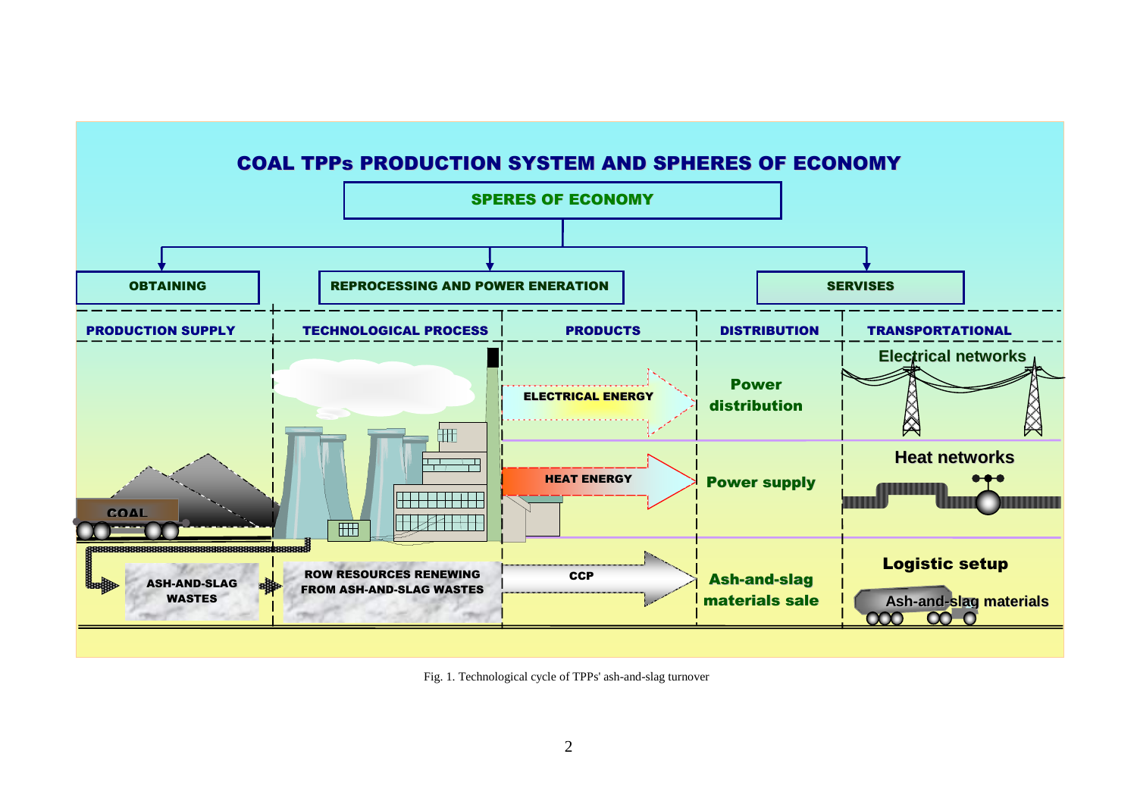

Fig. 1. Technological cycle of TPPs' ash-and-slag turnover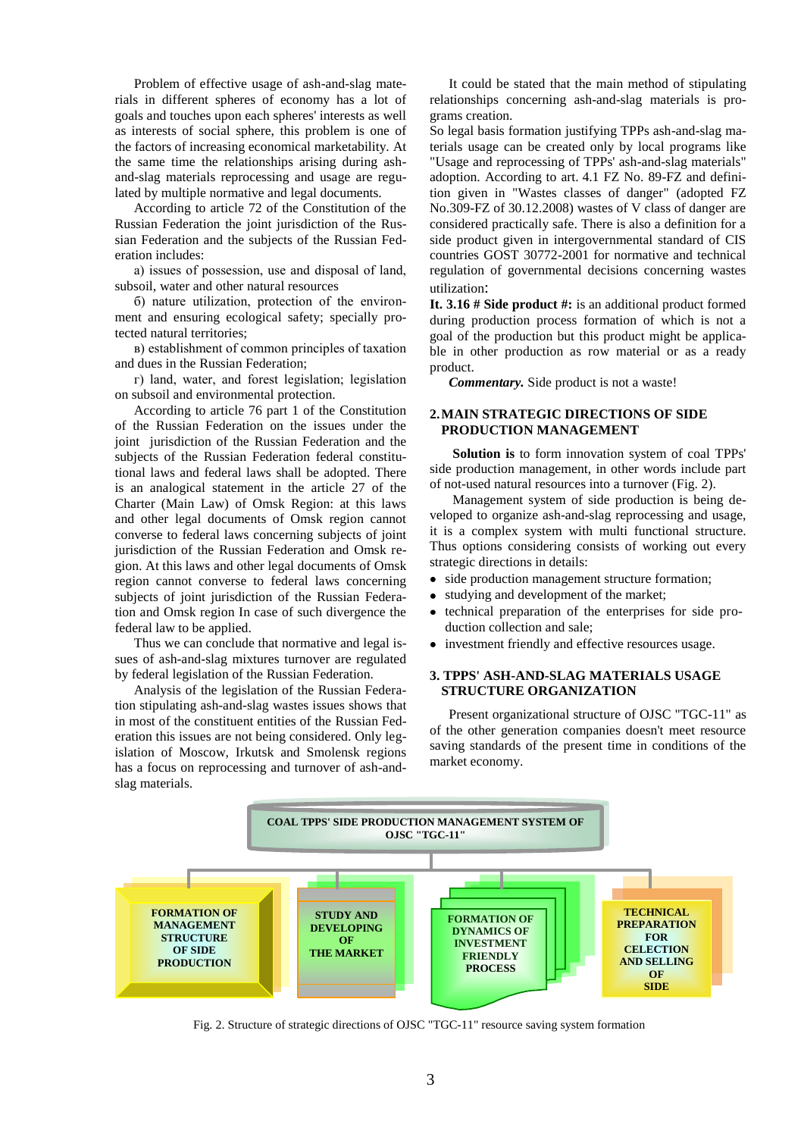Problem of effective usage of ash-and-slag materials in different spheres of economy has a lot of goals and touches upon each spheres' interests as well as interests of social sphere, this problem is one of the factors of increasing economical marketability. At the same time the relationships arising during ashand-slag materials reprocessing and usage are regulated by multiple normative and legal documents.

According to article 72 of the Constitution of the Russian Federation the joint jurisdiction of the Russian Federation and the subjects of the Russian Federation includes:

а) issues of possession, use and disposal of land, subsoil, water and other natural resources

б) nature utilization, protection of the environment and ensuring ecological safety; specially protected natural territories;

в) establishment of common principles of taxation and dues in the Russian Federation;

г) land, water, and forest legislation; legislation on subsoil and environmental protection.

According to article 76 part 1 of the Constitution of the Russian Federation on the issues under the joint jurisdiction of the Russian Federation and the subjects of the Russian Federation federal constitutional laws and federal laws shall be adopted. There is an analogical statement in the article 27 of the Charter (Main Law) of Omsk Region: at this laws and other legal documents of Omsk region cannot converse to federal laws concerning subjects of joint jurisdiction of the Russian Federation and Omsk region. At this laws and other legal documents of Omsk region cannot converse to federal laws concerning subjects of joint jurisdiction of the Russian Federation and Omsk region In case of such divergence the federal law to be applied.

Thus we can conclude that normative and legal issues of ash-and-slag mixtures turnover are regulated by federal legislation of the Russian Federation.

Analysis of the legislation of the Russian Federation stipulating ash-and-slag wastes issues shows that in most of the constituent entities of the Russian Federation this issues are not being considered. Only legislation of Moscow, Irkutsk and Smolensk regions has a focus on reprocessing and turnover of ash-andslag materials.

It could be stated that the main method of stipulating relationships concerning ash-and-slag materials is programs creation.

So legal basis formation justifying TPPs ash-and-slag materials usage can be created only by local programs like "Usage and reprocessing of TPPs' ash-and-slag materials" adoption. According to art. 4.1 FZ No. 89-FZ and definition given in "Wastes classes of danger" (adopted FZ No.309-FZ of 30.12.2008) wastes of V class of danger are considered practically safe. There is also a definition for a side product given in intergovernmental standard of CIS countries GOST 30772-2001 for normative and technical regulation of governmental decisions concerning wastes utilization:

**It. 3.16 # Side product #:** is an additional product formed during production process formation of which is not a goal of the production but this product might be applicable in other production as row material or as a ready product.

*Commentary.* Side product is not a waste!

## **2.MAIN STRATEGIC DIRECTIONS OF SIDE PRODUCTION MANAGEMENT**

**Solution is** to form innovation system of coal TPPs' side production management, in other words include part of not-used natural resources into a turnover (Fig. 2).

Management system of side production is being developed to organize ash-and-slag reprocessing and usage, it is a complex system with multi functional structure. Thus options considering consists of working out every strategic directions in details:

- side production management structure formation;
- studying and development of the market;
- technical preparation of the enterprises for side production collection and sale;
- investment friendly and effective resources usage.

### **3. TPPS' ASH-AND-SLAG MATERIALS USAGE STRUCTURE ORGANIZATION**

Present organizational structure of OJSC "TGC-11" as of the other generation companies doesn't meet resource saving standards of the present time in conditions of the market economy.



Fig. 2. Structure of strategic directions of OJSC "TGC-11" resource saving system formation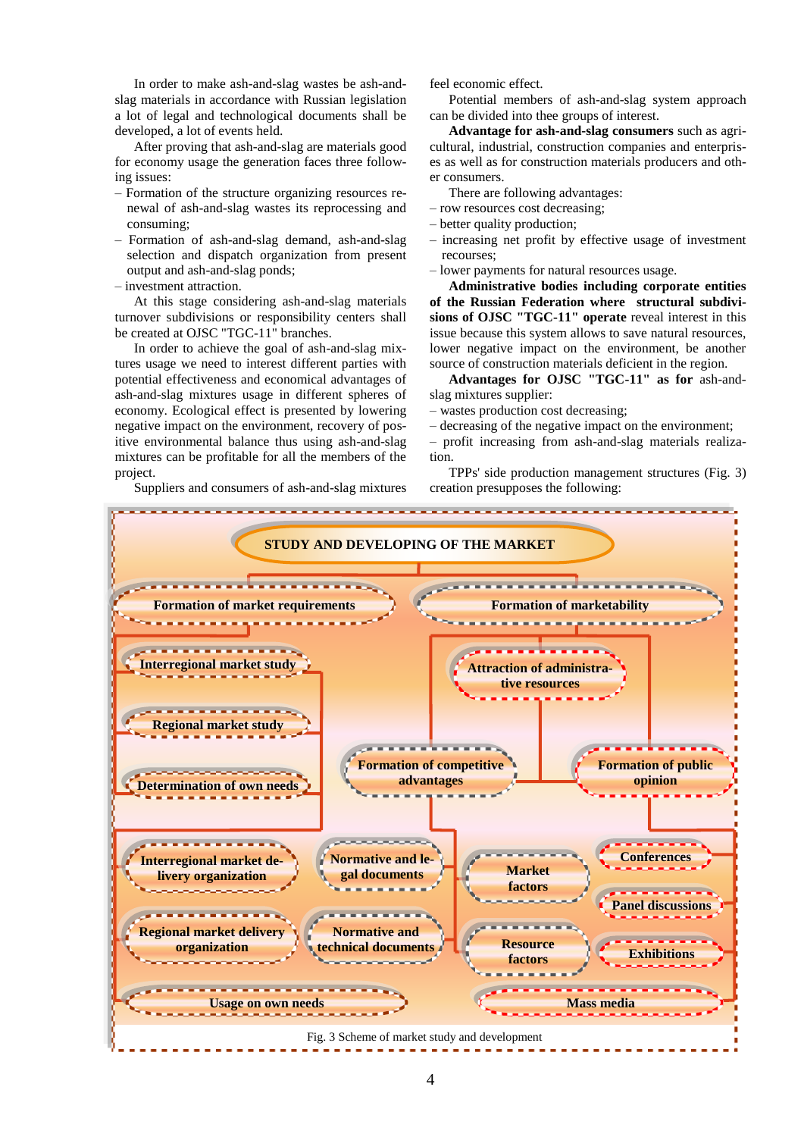In order to make ash-and-slag wastes be ash-andslag materials in accordance with Russian legislation a lot of legal and technological documents shall be developed, a lot of events held.

After proving that ash-and-slag are materials good for economy usage the generation faces three following issues:

- Formation of the structure organizing resources renewal of ash-and-slag wastes its reprocessing and consuming;
- Formation of ash-and-slag demand, ash-and-slag selection and dispatch organization from present output and ash-and-slag ponds;

– investment attraction.

At this stage considering ash-and-slag materials turnover subdivisions or responsibility centers shall be created at OJSC "TGC-11" branches.

In order to achieve the goal of ash-and-slag mixtures usage we need to interest different parties with potential effectiveness and economical advantages of ash-and-slag mixtures usage in different spheres of economy. Ecological effect is presented by lowering negative impact on the environment, recovery of positive environmental balance thus using ash-and-slag mixtures can be profitable for all the members of the project.

Suppliers and consumers of ash-and-slag mixtures

feel economic effect.

Potential members of ash-and-slag system approach can be divided into thee groups of interest.

**Advantage for ash-and-slag consumers** such as agricultural, industrial, construction companies and enterprises as well as for construction materials producers and other consumers.

There are following advantages:

- row resources cost decreasing;
- better quality production;
- increasing net profit by effective usage of investment recourses;
- lower payments for natural resources usage.

**Administrative bodies including corporate entities of the Russian Federation where structural subdivisions of OJSC "TGC-11" operate** reveal interest in this issue because this system allows to save natural resources, lower negative impact on the environment, be another source of construction materials deficient in the region.

**Advantages for OJSC "TGC-11" as for** ash-andslag mixtures supplier:

– wastes production cost decreasing;

– decreasing of the negative impact on the environment;

– profit increasing from ash-and-slag materials realization.

TPPs' side production management structures (Fig. 3) creation presupposes the following:

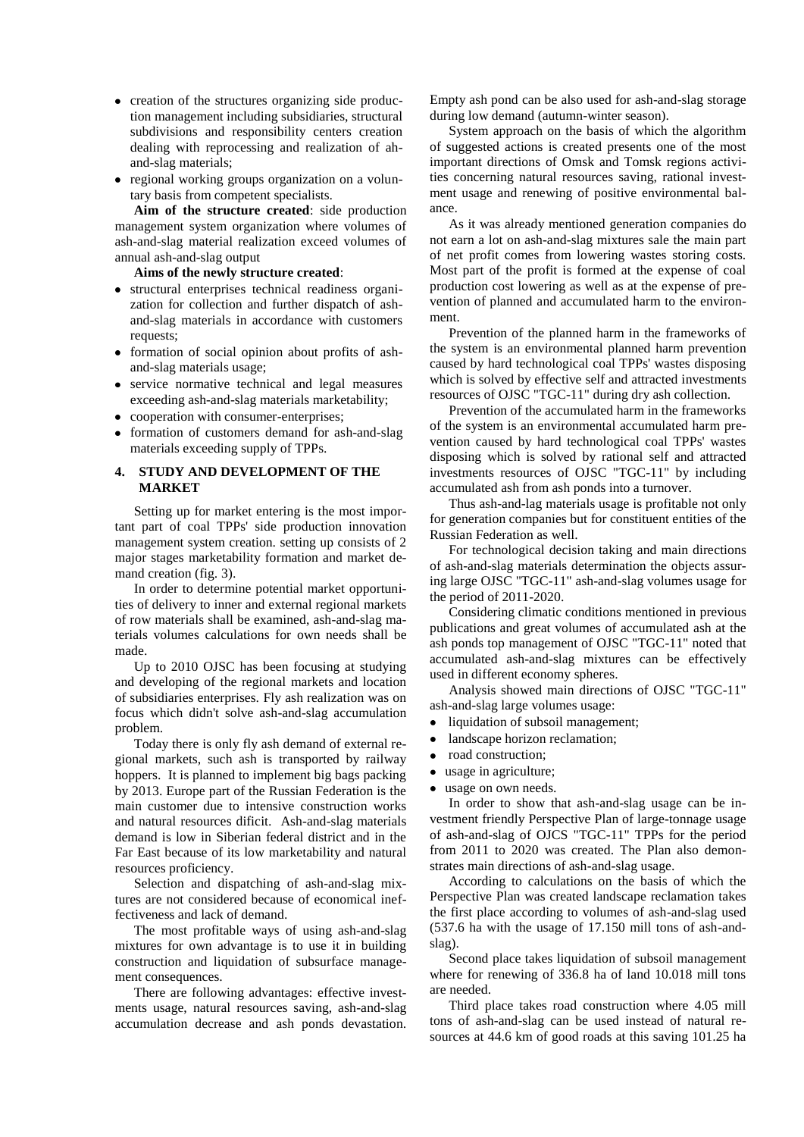- creation of the structures organizing side production management including subsidiaries, structural subdivisions and responsibility centers creation dealing with reprocessing and realization of ahand-slag materials;
- regional working groups organization on a voluntary basis from competent specialists.

**Aim of the structure created**: side production management system organization where volumes of ash-and-slag material realization exceed volumes of annual ash-and-slag output

## **Aims of the newly structure created**:

- structural enterprises technical readiness organization for collection and further dispatch of ashand-slag materials in accordance with customers requests;
- formation of social opinion about profits of ashand-slag materials usage;
- service normative technical and legal measures exceeding ash-and-slag materials marketability;
- cooperation with consumer-enterprises;
- formation of customers demand for ash-and-slag materials exceeding supply of TPPs.

# **4. STUDY AND DEVELOPMENT OF THE MARKET**

Setting up for market entering is the most important part of coal TPPs' side production innovation management system creation. setting up consists of 2 major stages marketability formation and market demand creation (fig. 3).

In order to determine potential market opportunities of delivery to inner and external regional markets of row materials shall be examined, ash-and-slag materials volumes calculations for own needs shall be made.

Up to 2010 OJSC has been focusing at studying and developing of the regional markets and location of subsidiaries enterprises. Fly ash realization was on focus which didn't solve ash-and-slag accumulation problem.

Today there is only fly ash demand of external regional markets, such ash is transported by railway hoppers. It is planned to implement big bags packing by 2013. Europe part of the Russian Federation is the main customer due to intensive construction works and natural resources dificit. Ash-and-slag materials demand is low in Siberian federal district and in the Far East because of its low marketability and natural resources proficiency.

Selection and dispatching of ash-and-slag mixtures are not considered because of economical ineffectiveness and lack of demand.

The most profitable ways of using ash-and-slag mixtures for own advantage is to use it in building construction and liquidation of subsurface management consequences.

There are following advantages: effective investments usage, natural resources saving, ash-and-slag accumulation decrease and ash ponds devastation.

Empty ash pond can be also used for ash-and-slag storage during low demand (autumn-winter season).

System approach on the basis of which the algorithm of suggested actions is created presents one of the most important directions of Omsk and Tomsk regions activities concerning natural resources saving, rational investment usage and renewing of positive environmental balance.

As it was already mentioned generation companies do not earn a lot on ash-and-slag mixtures sale the main part of net profit comes from lowering wastes storing costs. Most part of the profit is formed at the expense of coal production cost lowering as well as at the expense of prevention of planned and accumulated harm to the environment.

Prevention of the planned harm in the frameworks of the system is an environmental planned harm prevention caused by hard technological coal TPPs' wastes disposing which is solved by effective self and attracted investments resources of OJSC "TGC-11" during dry ash collection.

Prevention of the accumulated harm in the frameworks of the system is an environmental accumulated harm prevention caused by hard technological coal TPPs' wastes disposing which is solved by rational self and attracted investments resources of OJSC "TGC-11" by including accumulated ash from ash ponds into a turnover.

Thus ash-and-lag materials usage is profitable not only for generation companies but for constituent entities of the Russian Federation as well.

For technological decision taking and main directions of ash-and-slag materials determination the objects assuring large OJSC "TGC-11" ash-and-slag volumes usage for the period of 2011-2020.

Considering climatic conditions mentioned in previous publications and great volumes of accumulated ash at the ash ponds top management of OJSC "TGC-11" noted that accumulated ash-and-slag mixtures can be effectively used in different economy spheres.

Analysis showed main directions of OJSC "TGC-11" ash-and-slag large volumes usage:

- liquidation of subsoil management;  $\bullet$
- landscape horizon reclamation;
- road construction;  $\bullet$
- usage in agriculture;
- $\bullet$ usage on own needs.

In order to show that ash-and-slag usage can be investment friendly Perspective Plan of large-tonnage usage of ash-and-slag of OJCS "TGC-11" TPPs for the period from 2011 to 2020 was created. The Plan also demonstrates main directions of ash-and-slag usage.

According to calculations on the basis of which the Perspective Plan was created landscape reclamation takes the first place according to volumes of ash-and-slag used (537.6 ha with the usage of 17.150 mill tons of ash-andslag).

Second place takes liquidation of subsoil management where for renewing of 336.8 ha of land 10.018 mill tons are needed.

Third place takes road construction where 4.05 mill tons of ash-and-slag can be used instead of natural resources at 44.6 km of good roads at this saving 101.25 ha